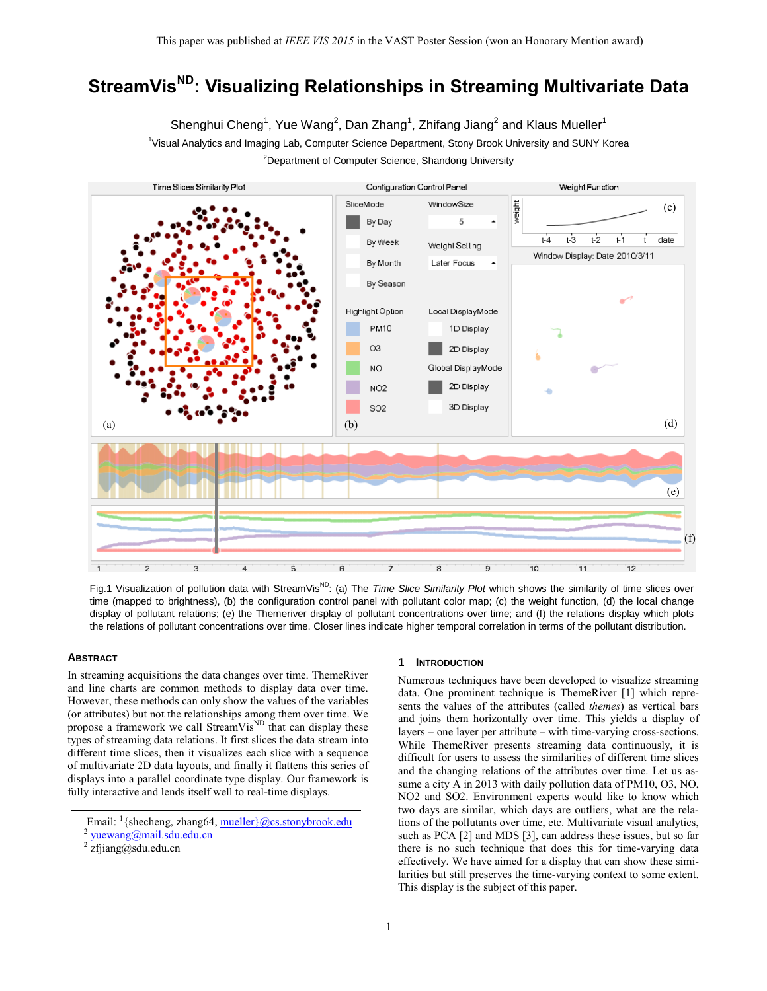# **StreamVisND: Visualizing Relationships in Streaming Multivariate Data**

Shenghui Cheng $^1$ , Yue Wang $^2$ , Dan Zhang $^1$ , Zhifang Jiang $^2$  and Klaus Mueller $^1$ <sup>1</sup>Visual Analytics and Imaging Lab, Computer Science Department, Stony Brook University and SUNY Korea <sup>2</sup>Department of Computer Science, Shandong University



Fig.1 Visualization of pollution data with StreamVis<sup>ND</sup>: (a) The *Time Slice Similarity Plot* which shows the similarity of time slices over time (mapped to brightness), (b) the configuration control panel with pollutant color map; (c) the weight function, (d) the local change display of pollutant relations; (e) the Themeriver display of pollutant concentrations over time; and (f) the relations display which plots the relations of pollutant concentrations over time. Closer lines indicate higher temporal correlation in terms of the pollutant distribution.

## **ABSTRACT**

In streaming acquisitions the data changes over time. ThemeRiver and line charts are common methods to display data over time. However, these methods can only show the values of the variables (or attributes) but not the relationships among them over time. We propose a framework we call StreamVis<sup>ND</sup> that can display these types of streaming data relations. It first slices the data stream into different time slices, then it visualizes each slice with a sequence of multivariate 2D data layouts, and finally it flattens this series of displays into a parallel coordinate type display. Our framework is fully interactive and lends itself well to real-time displays.

## **1 INTRODUCTION**

Numerous techniques have been developed to visualize streaming data. One prominent technique is ThemeRiver [\[1\]](#page-1-0) which represents the values of the attributes (called *themes*) as vertical bars and joins them horizontally over time. This yields a display of layers – one layer per attribute – with time-varying cross-sections. While ThemeRiver presents streaming data continuously, it is difficult for users to assess the similarities of different time slices and the changing relations of the attributes over time. Let us assume a city A in 2013 with daily pollution data of PM10, O3, NO, NO2 and SO2. Environment experts would like to know which two days are similar, which days are outliers, what are the relations of the pollutants over time, etc. Multivariate visual analytics, such as PC[A \[2\]](#page-1-1) and MDS [\[3\],](#page-1-2) can address these issues, but so far there is no such technique that does this for time-varying data effectively. We have aimed for a display that can show these similarities but still preserves the time-varying context to some extent. This display is the subject of this paper.

Email: <sup>1</sup> {shecheng, zhang64, mueller} @cs.stonybrook.edu

<sup>2</sup> [yuewang@mail.sdu.edu.cn](mailto:yuewang@mail.sdu.edu.cn)

<sup>2</sup> zfjiang@sdu.edu.cn